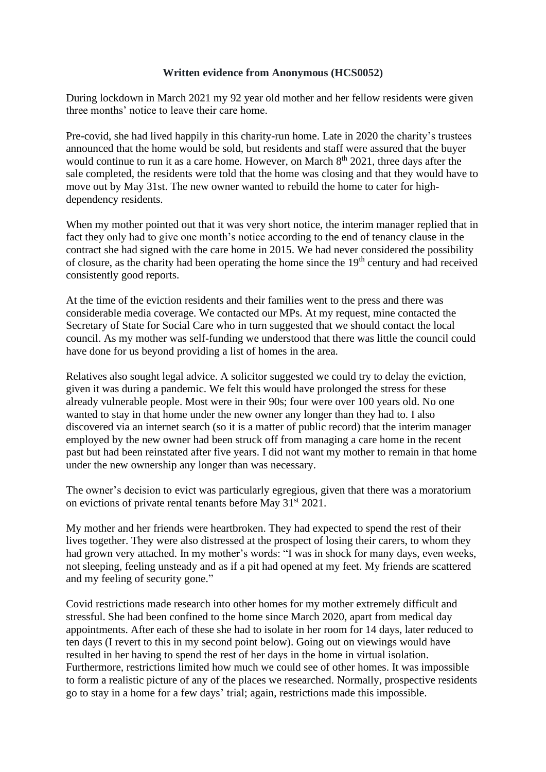## **Written evidence from Anonymous (HCS0052)**

During lockdown in March 2021 my 92 year old mother and her fellow residents were given three months' notice to leave their care home.

Pre-covid, she had lived happily in this charity-run home. Late in 2020 the charity's trustees announced that the home would be sold, but residents and staff were assured that the buyer would continue to run it as a care home. However, on March  $8<sup>th</sup> 2021$ , three days after the sale completed, the residents were told that the home was closing and that they would have to move out by May 31st. The new owner wanted to rebuild the home to cater for highdependency residents.

When my mother pointed out that it was very short notice, the interim manager replied that in fact they only had to give one month's notice according to the end of tenancy clause in the contract she had signed with the care home in 2015. We had never considered the possibility of closure, as the charity had been operating the home since the 19<sup>th</sup> century and had received consistently good reports.

At the time of the eviction residents and their families went to the press and there was considerable media coverage. We contacted our MPs. At my request, mine contacted the Secretary of State for Social Care who in turn suggested that we should contact the local council. As my mother was self-funding we understood that there was little the council could have done for us beyond providing a list of homes in the area.

Relatives also sought legal advice. A solicitor suggested we could try to delay the eviction, given it was during a pandemic. We felt this would have prolonged the stress for these already vulnerable people. Most were in their 90s; four were over 100 years old. No one wanted to stay in that home under the new owner any longer than they had to. I also discovered via an internet search (so it is a matter of public record) that the interim manager employed by the new owner had been struck off from managing a care home in the recent past but had been reinstated after five years. I did not want my mother to remain in that home under the new ownership any longer than was necessary.

The owner's decision to evict was particularly egregious, given that there was a moratorium on evictions of private rental tenants before May 31st 2021.

My mother and her friends were heartbroken. They had expected to spend the rest of their lives together. They were also distressed at the prospect of losing their carers, to whom they had grown very attached. In my mother's words: "I was in shock for many days, even weeks, not sleeping, feeling unsteady and as if a pit had opened at my feet. My friends are scattered and my feeling of security gone."

Covid restrictions made research into other homes for my mother extremely difficult and stressful. She had been confined to the home since March 2020, apart from medical day appointments. After each of these she had to isolate in her room for 14 days, later reduced to ten days (I revert to this in my second point below). Going out on viewings would have resulted in her having to spend the rest of her days in the home in virtual isolation. Furthermore, restrictions limited how much we could see of other homes. It was impossible to form a realistic picture of any of the places we researched. Normally, prospective residents go to stay in a home for a few days' trial; again, restrictions made this impossible.